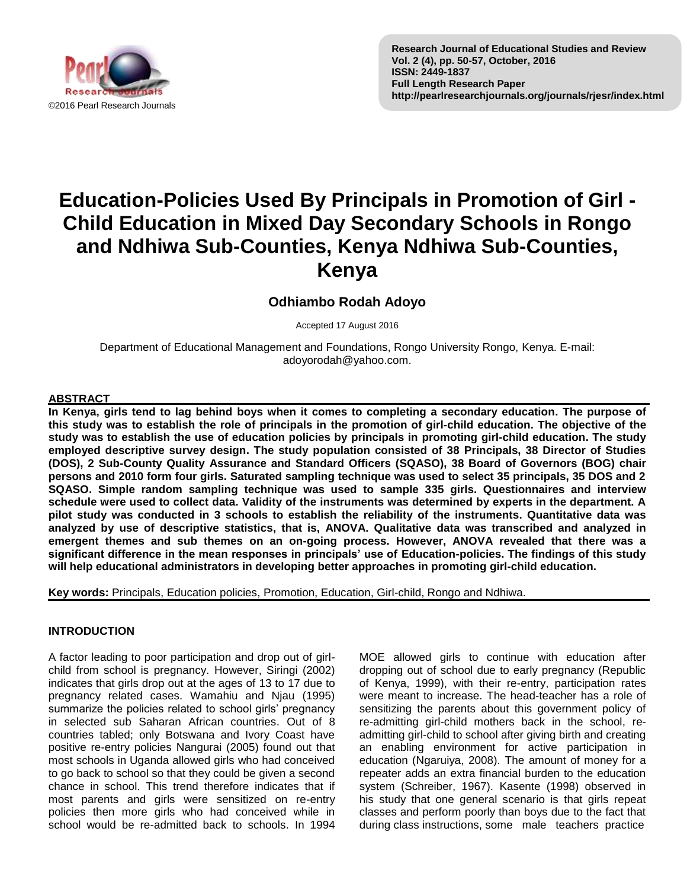

# **Education-Policies Used By Principals in Promotion of Girl - Child Education in Mixed Day Secondary Schools in Rongo and Ndhiwa Sub-Counties, Kenya Ndhiwa Sub-Counties, Kenya**

## **Odhiambo Rodah Adoyo**

Accepted 17 August 2016

Department of Educational Management and Foundations, Rongo University Rongo, Kenya. E-mail: adoyorodah@yahoo.com.

## **ABSTRACT**

**In Kenya, girls tend to lag behind boys when it comes to completing a secondary education. The purpose of this study was to establish the role of principals in the promotion of girl-child education. The objective of the study was to establish the use of education policies by principals in promoting girl-child education. The study employed descriptive survey design. The study population consisted of 38 Principals, 38 Director of Studies (DOS), 2 Sub-County Quality Assurance and Standard Officers (SQASO), 38 Board of Governors (BOG) chair persons and 2010 form four girls. Saturated sampling technique was used to select 35 principals, 35 DOS and 2 SQASO. Simple random sampling technique was used to sample 335 girls. Questionnaires and interview schedule were used to collect data. Validity of the instruments was determined by experts in the department. A pilot study was conducted in 3 schools to establish the reliability of the instruments. Quantitative data was analyzed by use of descriptive statistics, that is, ANOVA. Qualitative data was transcribed and analyzed in emergent themes and sub themes on an on-going process. However, ANOVA revealed that there was a significant difference in the mean responses in principals' use of Education-policies. The findings of this study will help educational administrators in developing better approaches in promoting girl-child education.**

**Key words:** Principals, Education policies, Promotion, Education, Girl-child, Rongo and Ndhiwa.

## **INTRODUCTION**

A factor leading to poor participation and drop out of girlchild from school is pregnancy. However, Siringi (2002) indicates that girls drop out at the ages of 13 to 17 due to pregnancy related cases. Wamahiu and Njau (1995) summarize the policies related to school girls' pregnancy in selected sub Saharan African countries. Out of 8 countries tabled; only Botswana and Ivory Coast have positive re-entry policies Nangurai (2005) found out that most schools in Uganda allowed girls who had conceived to go back to school so that they could be given a second chance in school. This trend therefore indicates that if most parents and girls were sensitized on re-entry policies then more girls who had conceived while in school would be re-admitted back to schools. In 1994

MOE allowed girls to continue with education after dropping out of school due to early pregnancy (Republic of Kenya, 1999), with their re-entry, participation rates were meant to increase. The head-teacher has a role of sensitizing the parents about this government policy of re-admitting girl-child mothers back in the school, readmitting girl-child to school after giving birth and creating an enabling environment for active participation in education (Ngaruiya, 2008). The amount of money for a repeater adds an extra financial burden to the education system (Schreiber, 1967). Kasente (1998) observed in his study that one general scenario is that girls repeat classes and perform poorly than boys due to the fact that during class instructions, some male teachers practice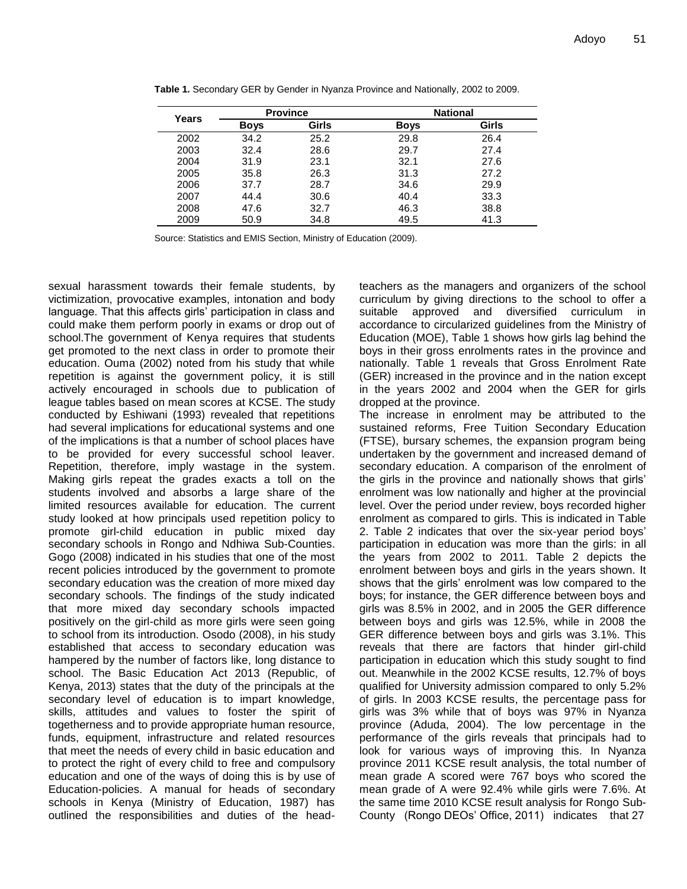| Years | <b>Province</b> |       | <b>National</b> |       |  |
|-------|-----------------|-------|-----------------|-------|--|
|       | <b>Boys</b>     | Girls | <b>Boys</b>     | Girls |  |
| 2002  | 34.2            | 25.2  | 29.8            | 26.4  |  |
| 2003  | 32.4            | 28.6  | 29.7            | 27.4  |  |
| 2004  | 31.9            | 23.1  | 32.1            | 27.6  |  |
| 2005  | 35.8            | 26.3  | 31.3            | 27.2  |  |
| 2006  | 37.7            | 28.7  | 34.6            | 29.9  |  |
| 2007  | 44.4            | 30.6  | 40.4            | 33.3  |  |
| 2008  | 47.6            | 32.7  | 46.3            | 38.8  |  |
| 2009  | 50.9            | 34.8  | 49.5            | 41.3  |  |

**Table 1.** Secondary GER by Gender in Nyanza Province and Nationally, 2002 to 2009.

Source: Statistics and EMIS Section, Ministry of Education (2009).

sexual harassment towards their female students, by victimization, provocative examples, intonation and body language. That this affects girls' participation in class and could make them perform poorly in exams or drop out of school.The government of Kenya requires that students get promoted to the next class in order to promote their education. Ouma (2002) noted from his study that while repetition is against the government policy, it is still actively encouraged in schools due to publication of league tables based on mean scores at KCSE. The study conducted by Eshiwani (1993) revealed that repetitions had several implications for educational systems and one of the implications is that a number of school places have to be provided for every successful school leaver. Repetition, therefore, imply wastage in the system. Making girls repeat the grades exacts a toll on the students involved and absorbs a large share of the limited resources available for education. The current study looked at how principals used repetition policy to promote girl-child education in public mixed day secondary schools in Rongo and Ndhiwa Sub-Counties. Gogo (2008) indicated in his studies that one of the most recent policies introduced by the government to promote secondary education was the creation of more mixed day secondary schools. The findings of the study indicated that more mixed day secondary schools impacted positively on the girl-child as more girls were seen going to school from its introduction. Osodo (2008), in his study established that access to secondary education was hampered by the number of factors like, long distance to school. The Basic Education Act 2013 (Republic, of Kenya, 2013) states that the duty of the principals at the secondary level of education is to impart knowledge, skills, attitudes and values to foster the spirit of togetherness and to provide appropriate human resource, funds, equipment, infrastructure and related resources that meet the needs of every child in basic education and to protect the right of every child to free and compulsory education and one of the ways of doing this is by use of Education-policies. A manual for heads of secondary schools in Kenya (Ministry of Education, 1987) has outlined the responsibilities and duties of the headteachers as the managers and organizers of the school curriculum by giving directions to the school to offer a suitable approved and diversified curriculum in accordance to circularized guidelines from the Ministry of Education (MOE), Table 1 shows how girls lag behind the boys in their gross enrolments rates in the province and nationally. Table 1 reveals that Gross Enrolment Rate (GER) increased in the province and in the nation except in the years 2002 and 2004 when the GER for girls dropped at the province.

The increase in enrolment may be attributed to the sustained reforms, Free Tuition Secondary Education (FTSE), bursary schemes, the expansion program being undertaken by the government and increased demand of secondary education. A comparison of the enrolment of the girls in the province and nationally shows that girls' enrolment was low nationally and higher at the provincial level. Over the period under review, boys recorded higher enrolment as compared to girls. This is indicated in Table 2. Table 2 indicates that over the six-year period boys' participation in education was more than the girls: in all the years from 2002 to 2011. Table 2 depicts the enrolment between boys and girls in the years shown. It shows that the girls' enrolment was low compared to the boys; for instance, the GER difference between boys and girls was 8.5% in 2002, and in 2005 the GER difference between boys and girls was 12.5%, while in 2008 the GER difference between boys and girls was 3.1%. This reveals that there are factors that hinder girl-child participation in education which this study sought to find out. Meanwhile in the 2002 KCSE results, 12.7% of boys qualified for University admission compared to only 5.2% of girls. In 2003 KCSE results, the percentage pass for girls was 3% while that of boys was 97% in Nyanza province (Aduda, 2004). The low percentage in the performance of the girls reveals that principals had to look for various ways of improving this. In Nyanza province 2011 KCSE result analysis, the total number of mean grade A scored were 767 boys who scored the mean grade of A were 92.4% while girls were 7.6%. At the same time 2010 KCSE result analysis for Rongo Sub-County (Rongo DEOs' Office, 2011) indicates that 27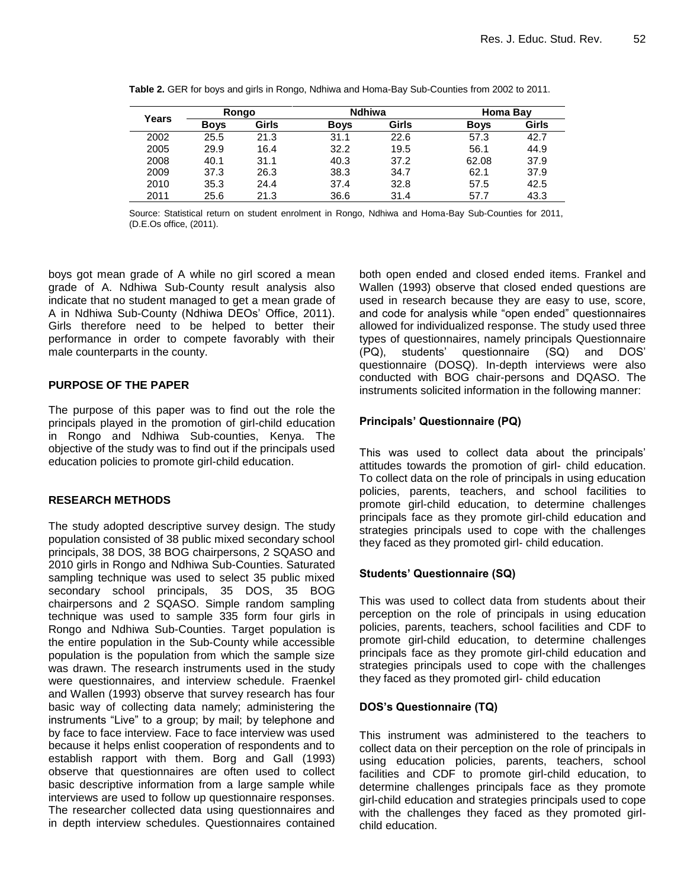| Years | Rongo       |       | <b>Ndhiwa</b> |       | Homa Bay    |       |
|-------|-------------|-------|---------------|-------|-------------|-------|
|       | <b>Boys</b> | Girls | <b>Boys</b>   | Girls | <b>Boys</b> | Girls |
| 2002  | 25.5        | 21.3  | 31.1          | 22.6  | 57.3        | 42.7  |
| 2005  | 29.9        | 16.4  | 32.2          | 19.5  | 56.1        | 44.9  |
| 2008  | 40.1        | 31.1  | 40.3          | 37.2  | 62.08       | 37.9  |
| 2009  | 37.3        | 26.3  | 38.3          | 34.7  | 62.1        | 37.9  |
| 2010  | 35.3        | 24.4  | 37.4          | 32.8  | 57.5        | 42.5  |
| 2011  | 25.6        | 21.3  | 36.6          | 31.4  | 57.7        | 43.3  |

|  |  |  | Table 2. GER for boys and girls in Rongo, Ndhiwa and Homa-Bay Sub-Counties from 2002 to 2011. |
|--|--|--|-----------------------------------------------------------------------------------------------|

Source: Statistical return on student enrolment in Rongo, Ndhiwa and Homa-Bay Sub-Counties for 2011, (D.E.Os office, (2011).

boys got mean grade of A while no girl scored a mean grade of A. Ndhiwa Sub-County result analysis also indicate that no student managed to get a mean grade of A in Ndhiwa Sub-County (Ndhiwa DEOs' Office, 2011). Girls therefore need to be helped to better their performance in order to compete favorably with their male counterparts in the county.

## **PURPOSE OF THE PAPER**

The purpose of this paper was to find out the role the principals played in the promotion of girl-child education in Rongo and Ndhiwa Sub-counties, Kenya. The objective of the study was to find out if the principals used education policies to promote girl-child education.

## **RESEARCH METHODS**

The study adopted descriptive survey design. The study population consisted of 38 public mixed secondary school principals, 38 DOS, 38 BOG chairpersons, 2 SQASO and 2010 girls in Rongo and Ndhiwa Sub-Counties. Saturated sampling technique was used to select 35 public mixed secondary school principals, 35 DOS, 35 BOG chairpersons and 2 SQASO. Simple random sampling technique was used to sample 335 form four girls in Rongo and Ndhiwa Sub-Counties. Target population is the entire population in the Sub-County while accessible population is the population from which the sample size was drawn. The research instruments used in the study were questionnaires, and interview schedule. Fraenkel and Wallen (1993) observe that survey research has four basic way of collecting data namely; administering the instruments "Live" to a group; by mail; by telephone and by face to face interview. Face to face interview was used because it helps enlist cooperation of respondents and to establish rapport with them. Borg and Gall (1993) observe that questionnaires are often used to collect basic descriptive information from a large sample while interviews are used to follow up questionnaire responses. The researcher collected data using questionnaires and in depth interview schedules. Questionnaires contained both open ended and closed ended items. Frankel and Wallen (1993) observe that closed ended questions are used in research because they are easy to use, score, and code for analysis while "open ended" questionnaires allowed for individualized response. The study used three types of questionnaires, namely principals Questionnaire (PQ), students' questionnaire (SQ) and DOS' questionnaire (DOSQ). In-depth interviews were also conducted with BOG chair-persons and DQASO. The instruments solicited information in the following manner:

## **Principals' Questionnaire (PQ)**

This was used to collect data about the principals' attitudes towards the promotion of girl- child education. To collect data on the role of principals in using education policies, parents, teachers, and school facilities to promote girl-child education, to determine challenges principals face as they promote girl-child education and strategies principals used to cope with the challenges they faced as they promoted girl- child education.

## **Students' Questionnaire (SQ)**

This was used to collect data from students about their perception on the role of principals in using education policies, parents, teachers, school facilities and CDF to promote girl-child education, to determine challenges principals face as they promote girl-child education and strategies principals used to cope with the challenges they faced as they promoted girl- child education

## **DOS's Questionnaire (TQ)**

This instrument was administered to the teachers to collect data on their perception on the role of principals in using education policies, parents, teachers, school facilities and CDF to promote girl-child education, to determine challenges principals face as they promote girl-child education and strategies principals used to cope with the challenges they faced as they promoted girlchild education.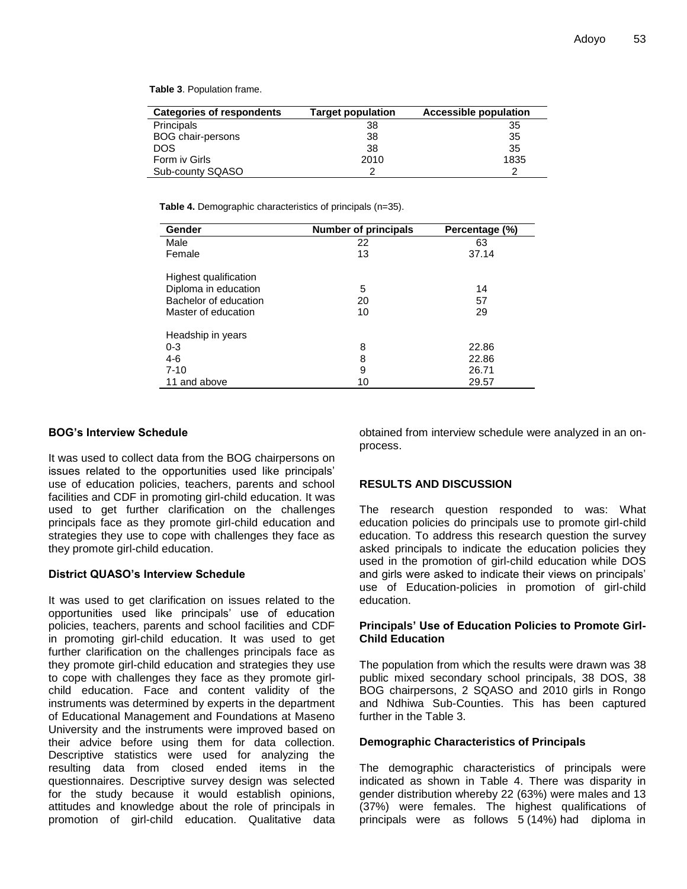**Table 3**. Population frame.

| Categories of respondents | <b>Target population</b> | <b>Accessible population</b> |
|---------------------------|--------------------------|------------------------------|
| Principals                | 38                       | 35                           |
| <b>BOG chair-persons</b>  | 38                       | 35                           |
| <b>DOS</b>                | 38                       | 35                           |
| Form iv Girls             | 2010                     | 1835                         |
| Sub-county SQASO          |                          |                              |

**Table 4.** Demographic characteristics of principals (n=35).

| Gender                                                                                        | <b>Number of principals</b> | Percentage (%) |
|-----------------------------------------------------------------------------------------------|-----------------------------|----------------|
| Male                                                                                          | 22                          | 63             |
| Female                                                                                        | 13                          | 37.14          |
| Highest qualification<br>Diploma in education<br>Bachelor of education<br>Master of education | 5<br>20<br>10               | 14<br>57<br>29 |
| Headship in years<br>$0 - 3$                                                                  | 8                           | 22.86          |
| $4-6$                                                                                         | 8                           | 22.86          |
| $7 - 10$                                                                                      | 9                           | 26.71          |
| 11 and above                                                                                  | 10                          | 29.57          |

#### **BOG's Interview Schedule**

It was used to collect data from the BOG chairpersons on issues related to the opportunities used like principals' use of education policies, teachers, parents and school facilities and CDF in promoting girl-child education. It was used to get further clarification on the challenges principals face as they promote girl-child education and strategies they use to cope with challenges they face as they promote girl-child education.

#### **District QUASO's Interview Schedule**

It was used to get clarification on issues related to the opportunities used like principals' use of education policies, teachers, parents and school facilities and CDF in promoting girl-child education. It was used to get further clarification on the challenges principals face as they promote girl-child education and strategies they use to cope with challenges they face as they promote girlchild education. Face and content validity of the instruments was determined by experts in the department of Educational Management and Foundations at Maseno University and the instruments were improved based on their advice before using them for data collection. Descriptive statistics were used for analyzing the resulting data from closed ended items in the questionnaires. Descriptive survey design was selected for the study because it would establish opinions, attitudes and knowledge about the role of principals in promotion of girl-child education. Qualitative data

obtained from interview schedule were analyzed in an onprocess.

#### **RESULTS AND DISCUSSION**

The research question responded to was: What education policies do principals use to promote girl-child education. To address this research question the survey asked principals to indicate the education policies they used in the promotion of girl-child education while DOS and girls were asked to indicate their views on principals' use of Education-policies in promotion of girl-child education.

#### **Principals' Use of Education Policies to Promote Girl-Child Education**

The population from which the results were drawn was 38 public mixed secondary school principals, 38 DOS, 38 BOG chairpersons, 2 SQASO and 2010 girls in Rongo and Ndhiwa Sub-Counties. This has been captured further in the Table 3.

#### **Demographic Characteristics of Principals**

The demographic characteristics of principals were indicated as shown in Table 4. There was disparity in gender distribution whereby 22 (63%) were males and 13 (37%) were females. The highest qualifications of principals were as follows 5 (14%) had diploma in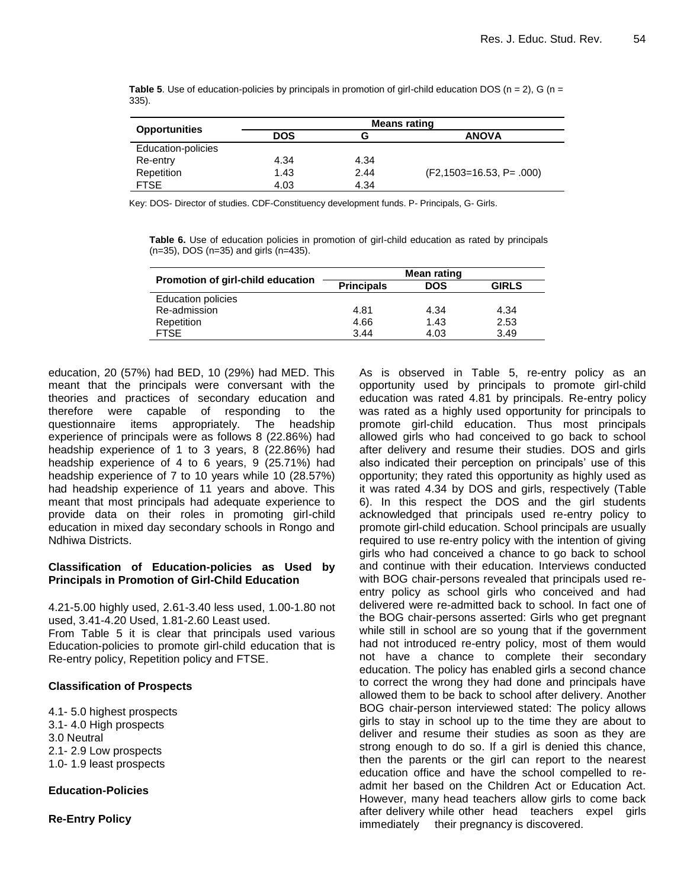**Table 5.** Use of education-policies by principals in promotion of girl-child education DOS ( $n = 2$ ), G ( $n = 1$ ) 335).

|                      | <b>Means rating</b> |      |                                |  |
|----------------------|---------------------|------|--------------------------------|--|
| <b>Opportunities</b> | <b>DOS</b>          | G    | <b>ANOVA</b>                   |  |
| Education-policies   |                     |      |                                |  |
| Re-entry             | 4.34                | 4.34 |                                |  |
| Repetition           | 1.43                | 2.44 | $(F2, 1503 = 16.53, P = .000)$ |  |
| <b>FTSE</b>          | 4.03                | 4.34 |                                |  |

Key: DOS- Director of studies. CDF-Constituency development funds. P- Principals, G- Girls.

**Table 6.** Use of education policies in promotion of girl-child education as rated by principals (n=35), DOS (n=35) and girls (n=435).

|                                   | Mean rating       |            |              |  |
|-----------------------------------|-------------------|------------|--------------|--|
| Promotion of girl-child education | <b>Principals</b> | <b>DOS</b> | <b>GIRLS</b> |  |
| <b>Education policies</b>         |                   |            |              |  |
| Re-admission                      | 4.81              | 4.34       | 4.34         |  |
| Repetition                        | 4.66              | 1.43       | 2.53         |  |
| <b>FTSE</b>                       | 3.44              | 4.03       | 3.49         |  |

education, 20 (57%) had BED, 10 (29%) had MED. This meant that the principals were conversant with the theories and practices of secondary education and therefore were capable of responding to the questionnaire items appropriately. The headship experience of principals were as follows 8 (22.86%) had headship experience of 1 to 3 years, 8 (22.86%) had headship experience of 4 to 6 years, 9 (25.71%) had headship experience of 7 to 10 years while 10 (28.57%) had headship experience of 11 years and above. This meant that most principals had adequate experience to provide data on their roles in promoting girl-child education in mixed day secondary schools in Rongo and Ndhiwa Districts.

#### **Classification of Education-policies as Used by Principals in Promotion of Girl-Child Education**

4.21-5.00 highly used, 2.61-3.40 less used, 1.00-1.80 not used, 3.41-4.20 Used, 1.81-2.60 Least used.

From Table 5 it is clear that principals used various Education-policies to promote girl-child education that is Re-entry policy, Repetition policy and FTSE.

### **Classification of Prospects**

4.1- 5.0 highest prospects 3.1- 4.0 High prospects 3.0 Neutral 2.1- 2.9 Low prospects 1.0- 1.9 least prospects

### **Education-Policies**

**Re-Entry Policy**

As is observed in Table 5, re-entry policy as an opportunity used by principals to promote girl-child education was rated 4.81 by principals. Re-entry policy was rated as a highly used opportunity for principals to promote girl-child education. Thus most principals allowed girls who had conceived to go back to school after delivery and resume their studies. DOS and girls also indicated their perception on principals' use of this opportunity; they rated this opportunity as highly used as it was rated 4.34 by DOS and girls, respectively (Table 6). In this respect the DOS and the girl students acknowledged that principals used re-entry policy to promote girl-child education. School principals are usually required to use re-entry policy with the intention of giving girls who had conceived a chance to go back to school and continue with their education. Interviews conducted with BOG chair-persons revealed that principals used reentry policy as school girls who conceived and had delivered were re-admitted back to school. In fact one of the BOG chair-persons asserted: Girls who get pregnant while still in school are so young that if the government had not introduced re-entry policy, most of them would not have a chance to complete their secondary education. The policy has enabled girls a second chance to correct the wrong they had done and principals have allowed them to be back to school after delivery. Another BOG chair-person interviewed stated: The policy allows girls to stay in school up to the time they are about to deliver and resume their studies as soon as they are strong enough to do so. If a girl is denied this chance, then the parents or the girl can report to the nearest education office and have the school compelled to readmit her based on the Children Act or Education Act. However, many head teachers allow girls to come back after delivery while other head teachers expel girls immediately their pregnancy is discovered.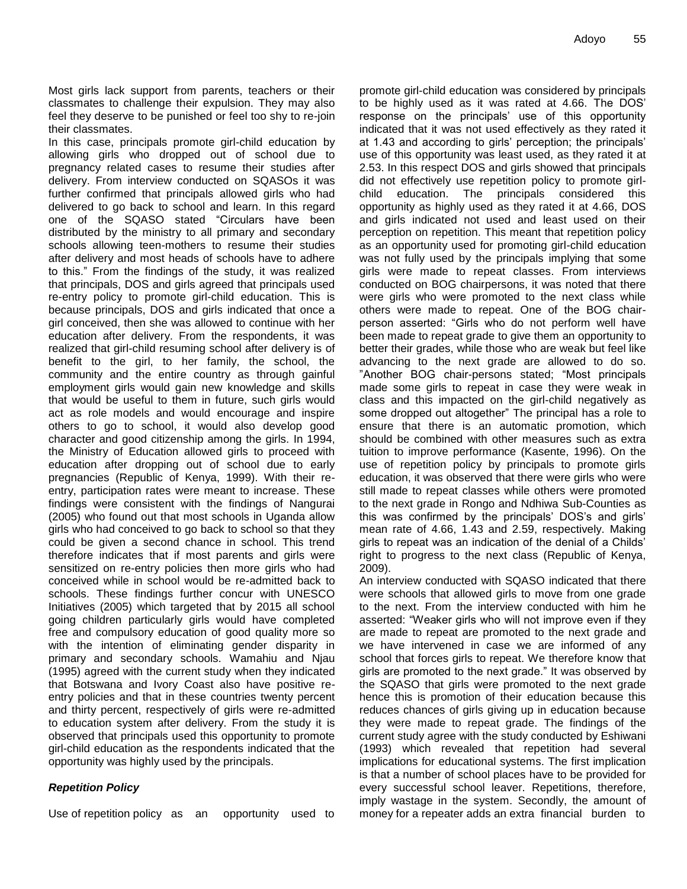Most girls lack support from parents, teachers or their classmates to challenge their expulsion. They may also feel they deserve to be punished or feel too shy to re-join their classmates.

In this case, principals promote girl-child education by allowing girls who dropped out of school due to pregnancy related cases to resume their studies after delivery. From interview conducted on SQASOs it was further confirmed that principals allowed girls who had delivered to go back to school and learn. In this regard one of the SQASO stated "Circulars have been distributed by the ministry to all primary and secondary schools allowing teen-mothers to resume their studies after delivery and most heads of schools have to adhere to this." From the findings of the study, it was realized that principals, DOS and girls agreed that principals used re-entry policy to promote girl-child education. This is because principals, DOS and girls indicated that once a girl conceived, then she was allowed to continue with her education after delivery. From the respondents, it was realized that girl-child resuming school after delivery is of benefit to the girl, to her family, the school, the community and the entire country as through gainful employment girls would gain new knowledge and skills that would be useful to them in future, such girls would act as role models and would encourage and inspire others to go to school, it would also develop good character and good citizenship among the girls. In 1994, the Ministry of Education allowed girls to proceed with education after dropping out of school due to early pregnancies (Republic of Kenya, 1999). With their reentry, participation rates were meant to increase. These findings were consistent with the findings of Nangurai (2005) who found out that most schools in Uganda allow girls who had conceived to go back to school so that they could be given a second chance in school. This trend therefore indicates that if most parents and girls were sensitized on re-entry policies then more girls who had conceived while in school would be re-admitted back to schools. These findings further concur with UNESCO Initiatives (2005) which targeted that by 2015 all school going children particularly girls would have completed free and compulsory education of good quality more so with the intention of eliminating gender disparity in primary and secondary schools. Wamahiu and Njau (1995) agreed with the current study when they indicated that Botswana and Ivory Coast also have positive reentry policies and that in these countries twenty percent and thirty percent, respectively of girls were re-admitted to education system after delivery. From the study it is observed that principals used this opportunity to promote girl-child education as the respondents indicated that the opportunity was highly used by the principals.

#### *Repetition Policy*

Use of repetition policy as an opportunity used to

promote girl-child education was considered by principals to be highly used as it was rated at 4.66. The DOS' response on the principals' use of this opportunity indicated that it was not used effectively as they rated it at 1.43 and according to girls' perception; the principals' use of this opportunity was least used, as they rated it at 2.53. In this respect DOS and girls showed that principals did not effectively use repetition policy to promote girlchild education. The principals considered this opportunity as highly used as they rated it at 4.66, DOS and girls indicated not used and least used on their perception on repetition. This meant that repetition policy as an opportunity used for promoting girl-child education was not fully used by the principals implying that some girls were made to repeat classes. From interviews conducted on BOG chairpersons, it was noted that there were girls who were promoted to the next class while others were made to repeat. One of the BOG chairperson asserted: "Girls who do not perform well have been made to repeat grade to give them an opportunity to better their grades, while those who are weak but feel like advancing to the next grade are allowed to do so. "Another BOG chair-persons stated; "Most principals made some girls to repeat in case they were weak in class and this impacted on the girl-child negatively as some dropped out altogether" The principal has a role to ensure that there is an automatic promotion, which should be combined with other measures such as extra tuition to improve performance (Kasente, 1996). On the use of repetition policy by principals to promote girls education, it was observed that there were girls who were still made to repeat classes while others were promoted to the next grade in Rongo and Ndhiwa Sub-Counties as this was confirmed by the principals' DOS's and girls' mean rate of 4.66, 1.43 and 2.59, respectively. Making girls to repeat was an indication of the denial of a Childs' right to progress to the next class (Republic of Kenya, 2009).

An interview conducted with SQASO indicated that there were schools that allowed girls to move from one grade to the next. From the interview conducted with him he asserted: "Weaker girls who will not improve even if they are made to repeat are promoted to the next grade and we have intervened in case we are informed of any school that forces girls to repeat. We therefore know that girls are promoted to the next grade." It was observed by the SQASO that girls were promoted to the next grade hence this is promotion of their education because this reduces chances of girls giving up in education because they were made to repeat grade. The findings of the current study agree with the study conducted by Eshiwani (1993) which revealed that repetition had several implications for educational systems. The first implication is that a number of school places have to be provided for every successful school leaver. Repetitions, therefore, imply wastage in the system. Secondly, the amount of money for a repeater adds an extra financial burden to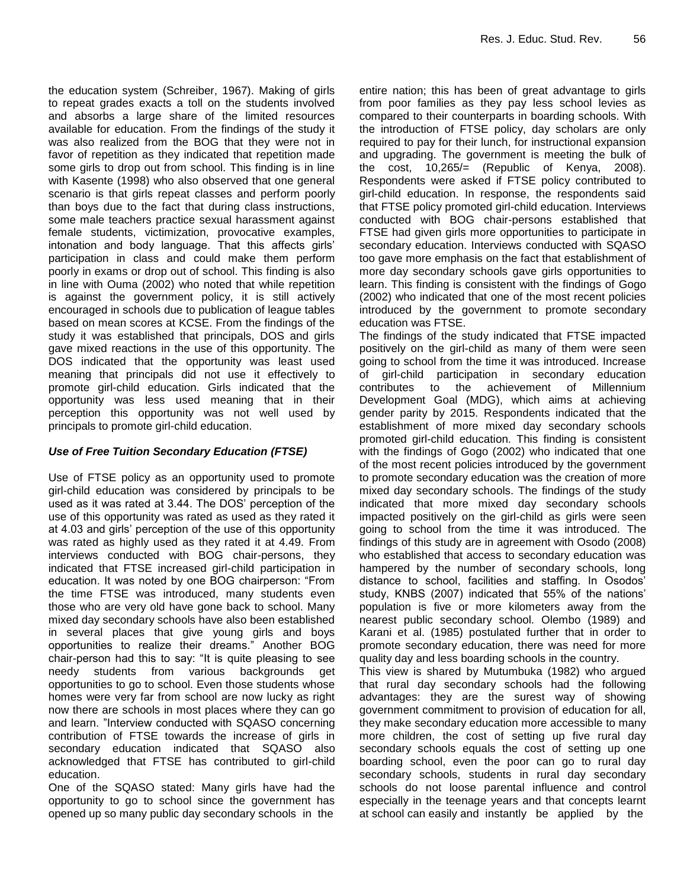the education system (Schreiber, 1967). Making of girls to repeat grades exacts a toll on the students involved and absorbs a large share of the limited resources available for education. From the findings of the study it was also realized from the BOG that they were not in favor of repetition as they indicated that repetition made some girls to drop out from school. This finding is in line with Kasente (1998) who also observed that one general scenario is that girls repeat classes and perform poorly than boys due to the fact that during class instructions, some male teachers practice sexual harassment against female students, victimization, provocative examples, intonation and body language. That this affects girls' participation in class and could make them perform poorly in exams or drop out of school. This finding is also in line with Ouma (2002) who noted that while repetition is against the government policy, it is still actively encouraged in schools due to publication of league tables based on mean scores at KCSE. From the findings of the study it was established that principals, DOS and girls gave mixed reactions in the use of this opportunity. The DOS indicated that the opportunity was least used meaning that principals did not use it effectively to promote girl-child education. Girls indicated that the opportunity was less used meaning that in their perception this opportunity was not well used by principals to promote girl-child education.

## *Use of Free Tuition Secondary Education (FTSE)*

Use of FTSE policy as an opportunity used to promote girl-child education was considered by principals to be used as it was rated at 3.44. The DOS' perception of the use of this opportunity was rated as used as they rated it at 4.03 and girls' perception of the use of this opportunity was rated as highly used as they rated it at 4.49. From interviews conducted with BOG chair-persons, they indicated that FTSE increased girl-child participation in education. It was noted by one BOG chairperson: "From the time FTSE was introduced, many students even those who are very old have gone back to school. Many mixed day secondary schools have also been established in several places that give young girls and boys opportunities to realize their dreams." Another BOG chair-person had this to say: "It is quite pleasing to see needy students from various backgrounds get opportunities to go to school. Even those students whose homes were very far from school are now lucky as right now there are schools in most places where they can go and learn. "Interview conducted with SQASO concerning contribution of FTSE towards the increase of girls in secondary education indicated that SQASO also acknowledged that FTSE has contributed to girl-child education.

One of the SQASO stated: Many girls have had the opportunity to go to school since the government has opened up so many public day secondary schools in the

entire nation; this has been of great advantage to girls from poor families as they pay less school levies as compared to their counterparts in boarding schools. With the introduction of FTSE policy, day scholars are only required to pay for their lunch, for instructional expansion and upgrading. The government is meeting the bulk of the cost, 10,265/= (Republic of Kenya, 2008). Respondents were asked if FTSE policy contributed to girl-child education. In response, the respondents said that FTSE policy promoted girl-child education. Interviews conducted with BOG chair-persons established that FTSE had given girls more opportunities to participate in secondary education. Interviews conducted with SQASO too gave more emphasis on the fact that establishment of more day secondary schools gave girls opportunities to learn. This finding is consistent with the findings of Gogo (2002) who indicated that one of the most recent policies introduced by the government to promote secondary education was FTSE.

The findings of the study indicated that FTSE impacted positively on the girl-child as many of them were seen going to school from the time it was introduced. Increase of girl-child participation in secondary education contributes to the achievement of Millennium Development Goal (MDG), which aims at achieving gender parity by 2015. Respondents indicated that the establishment of more mixed day secondary schools promoted girl-child education. This finding is consistent with the findings of Gogo (2002) who indicated that one of the most recent policies introduced by the government to promote secondary education was the creation of more mixed day secondary schools. The findings of the study indicated that more mixed day secondary schools impacted positively on the girl-child as girls were seen going to school from the time it was introduced. The findings of this study are in agreement with Osodo (2008) who established that access to secondary education was hampered by the number of secondary schools, long distance to school, facilities and staffing. In Osodos' study, KNBS (2007) indicated that 55% of the nations' population is five or more kilometers away from the nearest public secondary school. Olembo (1989) and Karani et al. (1985) postulated further that in order to promote secondary education, there was need for more quality day and less boarding schools in the country.

This view is shared by Mutumbuka (1982) who argued that rural day secondary schools had the following advantages: they are the surest way of showing government commitment to provision of education for all, they make secondary education more accessible to many more children, the cost of setting up five rural day secondary schools equals the cost of setting up one boarding school, even the poor can go to rural day secondary schools, students in rural day secondary schools do not loose parental influence and control especially in the teenage years and that concepts learnt at school can easily and instantly be applied by the